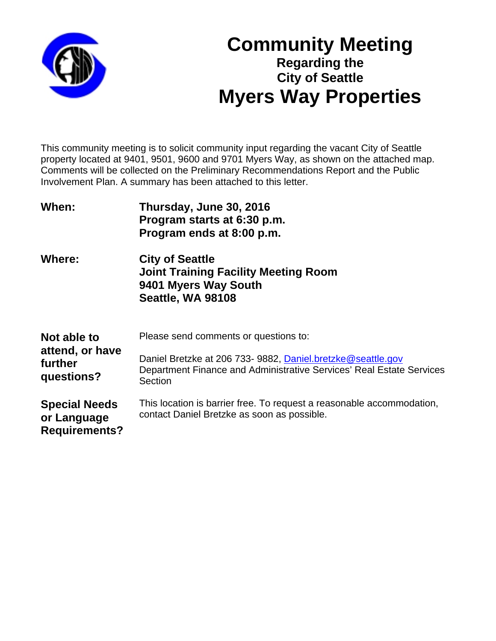

# **Community Meeting Regarding the City of Seattle Myers Way Properties**

This community meeting is to solicit community input regarding the vacant City of Seattle property located at 9401, 9501, 9600 and 9701 Myers Way, as shown on the attached map. Comments will be collected on the Preliminary Recommendations Report and the Public Involvement Plan. A summary has been attached to this letter.

| When:                                                       | Thursday, June 30, 2016<br>Program starts at 6:30 p.m.<br>Program ends at 8:00 p.m.                                                                                                     |
|-------------------------------------------------------------|-----------------------------------------------------------------------------------------------------------------------------------------------------------------------------------------|
| <b>Where:</b>                                               | <b>City of Seattle</b><br><b>Joint Training Facility Meeting Room</b><br>9401 Myers Way South<br>Seattle, WA 98108                                                                      |
| Not able to<br>attend, or have<br>further<br>questions?     | Please send comments or questions to:<br>Daniel Bretzke at 206 733- 9882, Daniel.bretzke@seattle.gov<br>Department Finance and Administrative Services' Real Estate Services<br>Section |
| <b>Special Needs</b><br>or Language<br><b>Requirements?</b> | This location is barrier free. To request a reasonable accommodation,<br>contact Daniel Bretzke as soon as possible.                                                                    |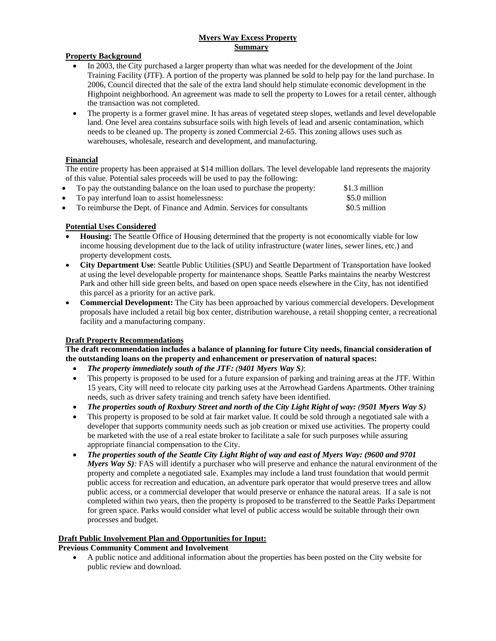## **Myers Way Excess Property Summary**

#### **Property Background**

- In 2003, the City purchased a larger property than what was needed for the development of the Joint Training Facility (JTF). A portion of the property was planned be sold to help pay for the land purchase. In 2006, Council directed that the sale of the extra land should help stimulate economic development in the Highpoint neighborhood. An agreement was made to sell the property to Lowes for a retail center, although the transaction was not completed.
- The property is a former gravel mine. It has areas of vegetated steep slopes, wetlands and level developable land. One level area contains subsurface soils with high levels of lead and arsenic contamination, which needs to be cleaned up. The property is zoned Commercial 2-65. This zoning allows uses such as warehouses, wholesale, research and development, and manufacturing.

## **Financial**

The entire property has been appraised at \$14 million dollars. The level developable land represents the majority of this value. Potential sales proceeds will be used to pay the following:

| To pay the outstanding balance on the loan used to purchase the property: | \$1.3 million |
|---------------------------------------------------------------------------|---------------|
| • To pay interfund loan to assist homelessness:                           | \$5.0 million |
| • To reimburse the Dept. of Finance and Admin. Services for consultants   | \$0.5 million |

## **Potential Uses Considered**

- **Housing:** The Seattle Office of Housing determined that the property is not economically viable for low income housing development due to the lack of utility infrastructure (water lines, sewer lines, etc.) and property development costs.
- **City Department Use**: Seattle Public Utilities (SPU) and Seattle Department of Transportation have looked at using the level developable property for maintenance shops. Seattle Parks maintains the nearby Westcrest Park and other hill side green belts, and based on open space needs elsewhere in the City, has not identified this parcel as a priority for an active park.
- **Commercial Development:** The City has been approached by various commercial developers. Development proposals have included a retail big box center, distribution warehouse, a retail shopping center, a recreational facility and a manufacturing company.

#### **Draft Property Recommendations**

## **The draft recommendation includes a balance of planning for future City needs, financial consideration of the outstanding loans on the property and enhancement or preservation of natural spaces:**

- *The property immediately south of the JTF: (9401 Myers Way S)*:
- This property is proposed to be used for a future expansion of parking and training areas at the JTF. Within 15 years, City will need to relocate city parking uses at the Arrowhead Gardens Apartments. Other training needs, such as driver safety training and trench safety have been identified.
- *The properties south of Roxbury Street and north of the City Light Right of way: (9501 Myers Way S)*
- This property is proposed to be sold at fair market value. It could be sold through a negotiated sale with a developer that supports community needs such as job creation or mixed use activities. The property could be marketed with the use of a real estate broker to facilitate a sale for such purposes while assuring appropriate financial compensation to the City.
- *The properties south of the Seattle City Light Right of way and east of Myers Way: (9600 and 9701 Myers Way S)*: FAS will identify a purchaser who will preserve and enhance the natural environment of the property and complete a negotiated sale. Examples may include a land trust foundation that would permit public access for recreation and education, an adventure park operator that would preserve trees and allow public access, or a commercial developer that would preserve or enhance the natural areas. If a sale is not completed within two years, then the property is proposed to be transferred to the Seattle Parks Department for green space. Parks would consider what level of public access would be suitable through their own processes and budget.

#### **Draft Public Involvement Plan and Opportunities for Input:**

#### **Previous Community Comment and Involvement**

 A public notice and additional information about the properties has been posted on the City website for public review and download.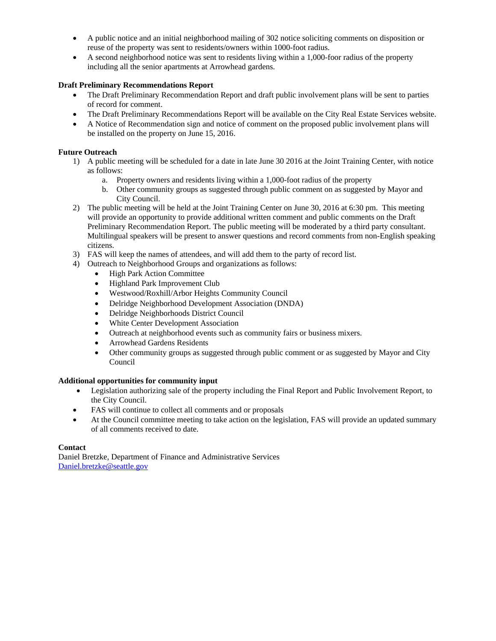- A public notice and an initial neighborhood mailing of 302 notice soliciting comments on disposition or reuse of the property was sent to residents/owners within 1000-foot radius.
- A second neighborhood notice was sent to residents living within a 1,000-foor radius of the property including all the senior apartments at Arrowhead gardens.

## **Draft Preliminary Recommendations Report**

- The Draft Preliminary Recommendation Report and draft public involvement plans will be sent to parties of record for comment.
- The Draft Preliminary Recommendations Report will be available on the City Real Estate Services website.
- A Notice of Recommendation sign and notice of comment on the proposed public involvement plans will be installed on the property on June 15, 2016.

## **Future Outreach**

- 1) A public meeting will be scheduled for a date in late June 30 2016 at the Joint Training Center, with notice as follows:
	- a. Property owners and residents living within a 1,000-foot radius of the property
	- b. Other community groups as suggested through public comment on as suggested by Mayor and City Council.
- 2) The public meeting will be held at the Joint Training Center on June 30, 2016 at 6:30 pm. This meeting will provide an opportunity to provide additional written comment and public comments on the Draft Preliminary Recommendation Report. The public meeting will be moderated by a third party consultant. Multilingual speakers will be present to answer questions and record comments from non-English speaking citizens.
- 3) FAS will keep the names of attendees, and will add them to the party of record list.
- 4) Outreach to Neighborhood Groups and organizations as follows:
	- High Park Action Committee
	- Highland Park Improvement Club
	- Westwood/Roxhill/Arbor Heights Community Council
	- Delridge Neighborhood Development Association (DNDA)
	- Delridge Neighborhoods District Council
	- White Center Development Association
	- Outreach at neighborhood events such as community fairs or business mixers.
	- Arrowhead Gardens Residents
	- Other community groups as suggested through public comment or as suggested by Mayor and City Council

#### **Additional opportunities for community input**

- Legislation authorizing sale of the property including the Final Report and Public Involvement Report, to the City Council.
- FAS will continue to collect all comments and or proposals
- At the Council committee meeting to take action on the legislation, FAS will provide an updated summary of all comments received to date.

#### **Contact**

Daniel Bretzke, Department of Finance and Administrative Services Daniel.bretzke@seattle.gov